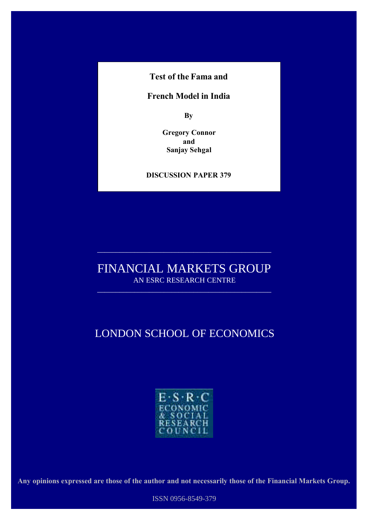**Test of the Fama and**

### **French Model in India**

**By**

**Gregory Connor and Sanjay Sehgal**

#### **DISCUSSION PAPER 379**

**May 2001**

## FINANCIAL MARKETS GROUP AN ESRC RESEARCH CENTRE

 $\overline{\phantom{a}}$  , and the contribution of the contribution of  $\overline{\phantom{a}}$ 

 $\overline{\phantom{a}}$  , and the contribution of the contribution of  $\overline{\phantom{a}}$ 

# LONDON SCHOOL OF ECONOMICS



**Any opinions expressed are those of the author and not necessarily those of the Financial Markets Group.**

ISSN 0956-8549-379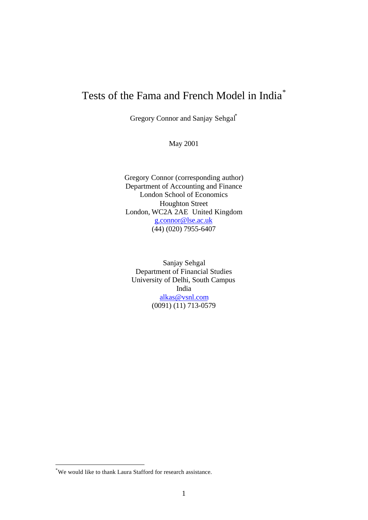# Tests of the Fama and French Model in India\*

Gregory Connor and Sanjay Sehgal\*

May 2001

Gregory Connor (corresponding author) Department of Accounting and Finance London School of Economics Houghton Street London, WC2A 2AE United Kingdom g.connor@lse.ac.uk (44) (020) 7955-6407

Sanjay Sehgal Department of Financial Studies University of Delhi, South Campus India alkas@vsnl.com (0091) (11) 713-0579

l

<sup>\*</sup>We would like to thank Laura Stafford for research assistance.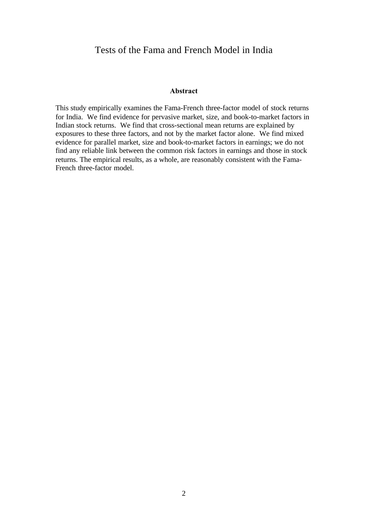### Tests of the Fama and French Model in India

#### **Abstract**

This study empirically examines the Fama-French three-factor model of stock returns for India. We find evidence for pervasive market, size, and book-to-market factors in Indian stock returns. We find that cross-sectional mean returns are explained by exposures to these three factors, and not by the market factor alone. We find mixed evidence for parallel market, size and book-to-market factors in earnings; we do not find any reliable link between the common risk factors in earnings and those in stock returns. The empirical results, as a whole, are reasonably consistent with the Fama-French three-factor model.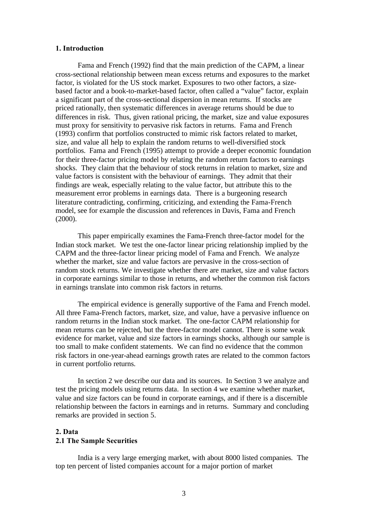#### **1. Introduction**

Fama and French (1992) find that the main prediction of the CAPM, a linear cross-sectional relationship between mean excess returns and exposures to the market factor, is violated for the US stock market. Exposures to two other factors, a sizebased factor and a book-to-market-based factor, often called a "value" factor, explain a significant part of the cross-sectional dispersion in mean returns. If stocks are priced rationally, then systematic differences in average returns should be due to differences in risk. Thus, given rational pricing, the market, size and value exposures must proxy for sensitivity to pervasive risk factors in returns. Fama and French (1993) confirm that portfolios constructed to mimic risk factors related to market, size, and value all help to explain the random returns to well-diversified stock portfolios. Fama and French (1995) attempt to provide a deeper economic foundation for their three-factor pricing model by relating the random return factors to earnings shocks. They claim that the behaviour of stock returns in relation to market, size and value factors is consistent with the behaviour of earnings. They admit that their findings are weak, especially relating to the value factor, but attribute this to the measurement error problems in earnings data. There is a burgeoning research literature contradicting, confirming, criticizing, and extending the Fama-French model, see for example the discussion and references in Davis, Fama and French (2000).

This paper empirically examines the Fama-French three-factor model for the Indian stock market. We test the one-factor linear pricing relationship implied by the CAPM and the three-factor linear pricing model of Fama and French. We analyze whether the market, size and value factors are pervasive in the cross-section of random stock returns. We investigate whether there are market, size and value factors in corporate earnings similar to those in returns, and whether the common risk factors in earnings translate into common risk factors in returns.

The empirical evidence is generally supportive of the Fama and French model. All three Fama-French factors, market, size, and value, have a pervasive influence on random returns in the Indian stock market. The one-factor CAPM relationship for mean returns can be rejected, but the three-factor model cannot. There is some weak evidence for market, value and size factors in earnings shocks, although our sample is too small to make confident statements. We can find no evidence that the common risk factors in one-year-ahead earnings growth rates are related to the common factors in current portfolio returns.

In section 2 we describe our data and its sources. In Section 3 we analyze and test the pricing models using returns data. In section 4 we examine whether market, value and size factors can be found in corporate earnings, and if there is a discernible relationship between the factors in earnings and in returns. Summary and concluding remarks are provided in section 5.

#### **2. Data**

#### **2.1 The Sample Securities**

India is a very large emerging market, with about 8000 listed companies. The top ten percent of listed companies account for a major portion of market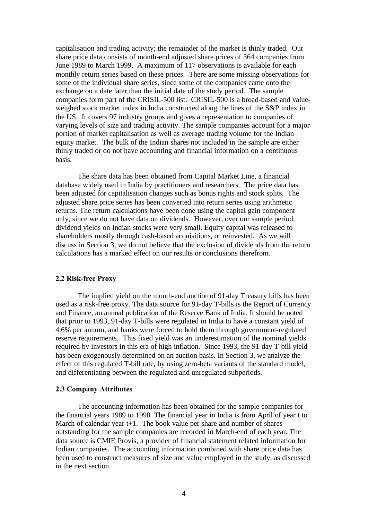capitalisation and trading activity; the remainder of the market is thinly traded. Our share price data consists of month-end adjusted share prices of 364 companies from June 1989 to March 1999. A maximum of 117 observations is available for each monthly return series based on these prices. There are some missing observations for some of the individual share series, since some of the companies came onto the exchange on a date later than the initial date of the study period. The sample companies form part of the CRISIL-500 list. CRISIL-500 is a broad-based and valueweighed stock market index in India constructed along the lines of the S&P index in the US. It covers 97 industry groups and gives a representation to companies of varying levels of size and trading activity. The sample companies account for a major portion of market capitalisation as well as average trading volume for the Indian equity market. The bulk of the Indian shares not included in the sample are either thinly traded or do not have accounting and financial information on a continuous basis.

The share data has been obtained from Capital Market Line, a financial database widely used in India by practitioners and researchers. The price data has been adjusted for capitalisation changes such as bonus rights and stock splits. The adjusted share price series has been converted into return series using arithmetic returns. The return calculations have been done using the capital gain component only, since we do not have data on dividends. However, over our sample period, dividend yields on Indian stocks were very small. Equity capital was released to shareholders mostly through cash-based acquisitions, or reinvested. As we will discuss in Section 3, we do not believe that the exclusion of dividends from the return calculations has a marked effect on our results or conclusions therefrom.

#### **2.2 Risk-free Proxy**

The implied yield on the month-end auction of 91-day Treasury bills has been used as a risk-free proxy. The data source for 91-day T-bills is the Report of Currency and Finance, an annual publication of the Reserve Bank of India. It should be noted that prior to 1993, 91-day T-bills were regulated in India to have a constant yield of 4.6% per annum, and banks were forced to hold them through government-regulated reserve requirements. This fixed yield was an underestimation of the nominal yields required by investors in this era of high inflation. Since 1993, the 91-day T-bill yield has been exogenously determined on an auction basis. In Section 3, we analyze the effect of this regulated T-bill rate, by using zero-beta variants of the standard model, and differentiating between the regulated and unregulated subperiods.

#### **2.3 Company Attributes**

The accounting information has been obtained for the sample companies for the financial years 1989 to 1998. The financial year in India is from April of year t to March of calendar year t+1. The book value per share and number of shares outstanding for the sample companies are recorded in March-end of each year. The data source is CMIE Provis, a provider of financial statement related information for Indian companies. The accounting information combined with share price data has been used to construct measures of size and value employed in the study, as discussed in the next section.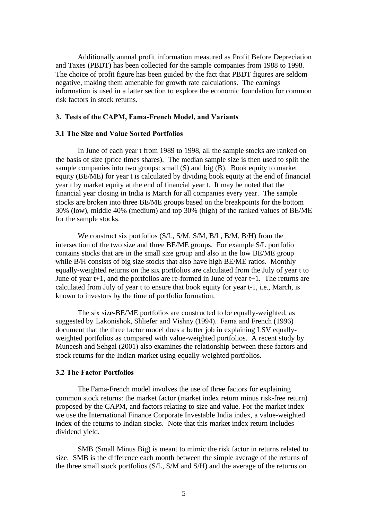Additionally annual profit information measured as Profit Before Depreciation and Taxes (PBDT) has been collected for the sample companies from 1988 to 1998. The choice of profit figure has been guided by the fact that PBDT figures are seldom negative, making them amenable for growth rate calculations. The earnings information is used in a latter section to explore the economic foundation for common risk factors in stock returns.

#### **3. Tests of the CAPM, Fama-French Model, and Variants**

#### **3.1 The Size and Value Sorted Portfolios**

In June of each year t from 1989 to 1998, all the sample stocks are ranked on the basis of size (price times shares). The median sample size is then used to split the sample companies into two groups: small (S) and big (B). Book equity to market equity (BE/ME) for year t is calculated by dividing book equity at the end of financial year t by market equity at the end of financial year t. It may be noted that the financial year closing in India is March for all companies every year. The sample stocks are broken into three BE/ME groups based on the breakpoints for the bottom 30% (low), middle 40% (medium) and top 30% (high) of the ranked values of BE/ME for the sample stocks.

We construct six portfolios (S/L, S/M, S/M, B/L, B/M, B/H) from the intersection of the two size and three BE/ME groups. For example S/L portfolio contains stocks that are in the small size group and also in the low BE/ME group while B/H consists of big size stocks that also have high BE/ME ratios. Monthly equally-weighted returns on the six portfolios are calculated from the July of year t to June of year t+1, and the portfolios are re-formed in June of year t+1. The returns are calculated from July of year t to ensure that book equity for year t-1, i.e., March, is known to investors by the time of portfolio formation.

The six size-BE/ME portfolios are constructed to be equally-weighted, as suggested by Lakonishok, Shliefer and Vishny (1994). Fama and French (1996) document that the three factor model does a better job in explaining LSV equallyweighted portfolios as compared with value-weighted portfolios. A recent study by Muneesh and Sehgal (2001) also examines the relationship between these factors and stock returns for the Indian market using equally-weighted portfolios.

#### **3.2 The Factor Portfolios**

The Fama-French model involves the use of three factors for explaining common stock returns: the market factor (market index return minus risk-free return) proposed by the CAPM, and factors relating to size and value. For the market index we use the International Finance Corporate Investable India index, a value-weighted index of the returns to Indian stocks. Note that this market index return includes dividend yield.

SMB (Small Minus Big) is meant to mimic the risk factor in returns related to size. SMB is the difference each month between the simple average of the returns of the three small stock portfolios (S/L, S/M and S/H) and the average of the returns on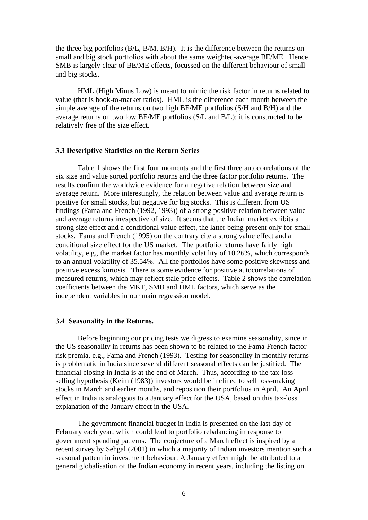the three big portfolios (B/L, B/M, B/H). It is the difference between the returns on small and big stock portfolios with about the same weighted-average BE/ME. Hence SMB is largely clear of BE/ME effects, focussed on the different behaviour of small and big stocks.

HML (High Minus Low) is meant to mimic the risk factor in returns related to value (that is book-to-market ratios). HML is the difference each month between the simple average of the returns on two high BE/ME portfolios (S/H and B/H) and the average returns on two low BE/ME portfolios (S/L and B/L); it is constructed to be relatively free of the size effect.

#### **3.3 Descriptive Statistics on the Return Series**

Table 1 shows the first four moments and the first three autocorrelations of the six size and value sorted portfolio returns and the three factor portfolio returns. The results confirm the worldwide evidence for a negative relation between size and average return. More interestingly, the relation between value and average return is positive for small stocks, but negative for big stocks. This is different from US findings (Fama and French (1992, 1993)) of a strong positive relation between value and average returns irrespective of size. It seems that the Indian market exhibits a strong size effect and a conditional value effect, the latter being present only for small stocks. Fama and French (1995) on the contrary cite a strong value effect and a conditional size effect for the US market. The portfolio returns have fairly high volatility, e.g., the market factor has monthly volatility of 10.26%, which corresponds to an annual volatility of 35.54%. All the portfolios have some positive skewness and positive excess kurtosis. There is some evidence for positive autocorrelations of measured returns, which may reflect stale price effects. Table 2 shows the correlation coefficients between the MKT, SMB and HML factors, which serve as the independent variables in our main regression model.

#### **3.4 Seasonality in the Returns.**

Before beginning our pricing tests we digress to examine seasonality, since in the US seasonality in returns has been shown to be related to the Fama-French factor risk premia, e.g., Fama and French (1993). Testing for seasonality in monthly returns is problematic in India since several different seasonal effects can be justified. The financial closing in India is at the end of March. Thus, according to the tax-loss selling hypothesis (Keim (1983)) investors would be inclined to sell loss-making stocks in March and earlier months, and reposition their portfolios in April. An April effect in India is analogous to a January effect for the USA, based on this tax-loss explanation of the January effect in the USA.

The government financial budget in India is presented on the last day of February each year, which could lead to portfolio rebalancing in response to government spending patterns. The conjecture of a March effect is inspired by a recent survey by Sehgal (2001) in which a majority of Indian investors mention such a seasonal pattern in investment behaviour. A January effect might be attributed to a general globalisation of the Indian economy in recent years, including the listing on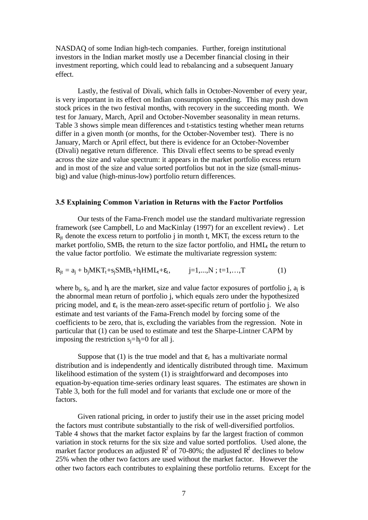NASDAQ of some Indian high-tech companies. Further, foreign institutional investors in the Indian market mostly use a December financial closing in their investment reporting, which could lead to rebalancing and a subsequent January effect.

Lastly, the festival of Divali, which falls in October-November of every year, is very important in its effect on Indian consumption spending. This may push down stock prices in the two festival months, with recovery in the succeeding month. We test for January, March, April and October-November seasonality in mean returns. Table 3 shows simple mean differences and t-statistics testing whether mean returns differ in a given month (or months, for the October-November test). There is no January, March or April effect, but there is evidence for an October-November (Divali) negative return difference. This Divali effect seems to be spread evenly across the size and value spectrum: it appears in the market portfolio excess return and in most of the size and value sorted portfolios but not in the size (small-minusbig) and value (high-minus-low) portfolio return differences.

#### **3.5 Explaining Common Variation in Returns with the Factor Portfolios**

Our tests of the Fama-French model use the standard multivariate regression framework (see Campbell, Lo and MacKinlay (1997) for an excellent review) . Let  $R_{it}$  denote the excess return to portfolio j in month t,  $MKT_t$  the excess return to the market portfolio,  $SMB_t$  the return to the size factor portfolio, and  $HML_t$  the return to the value factor portfolio. We estimate the multivariate regression system:

 $R_{jt} = a_j + b_j MKT_t + s_j SMB_t + h_j HML_t + \varepsilon_t,$   $j=1,...,N ; t=1,...,T$  (1)

where  $b_i$ ,  $s_i$ , and  $h_i$  are the market, size and value factor exposures of portfolio j,  $a_i$  is the abnormal mean return of portfolio j, which equals zero under the hypothesized pricing model, and  $\varepsilon_t$  is the mean-zero asset-specific return of portfolio j. We also estimate and test variants of the Fama-French model by forcing some of the coefficients to be zero, that is, excluding the variables from the regression. Note in particular that (1) can be used to estimate and test the Sharpe-Lintner CAPM by imposing the restriction  $s_i=h_i=0$  for all j.

Suppose that (1) is the true model and that  $\varepsilon_t$  has a multivariate normal distribution and is independently and identically distributed through time. Maximum likelihood estimation of the system (1) is straightforward and decomposes into equation-by-equation time-series ordinary least squares. The estimates are shown in Table 3, both for the full model and for variants that exclude one or more of the factors.

Given rational pricing, in order to justify their use in the asset pricing model the factors must contribute substantially to the risk of well-diversified portfolios. Table 4 shows that the market factor explains by far the largest fraction of common variation in stock returns for the six size and value sorted portfolios. Used alone, the market factor produces an adjusted  $R^2$  of 70-80%; the adjusted  $R^2$  declines to below 25% when the other two factors are used without the market factor. However the other two factors each contributes to explaining these portfolio returns. Except for the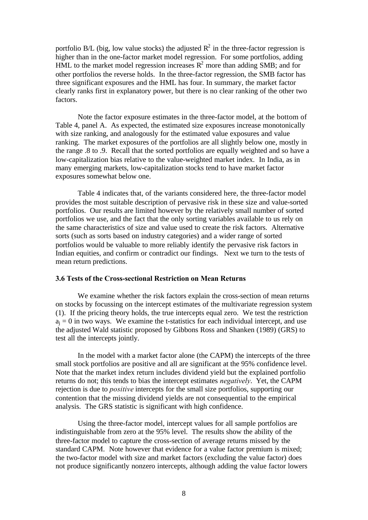portfolio B/L (big, low value stocks) the adjusted  $R^2$  in the three-factor regression is higher than in the one-factor market model regression. For some portfolios, adding HML to the market model regression increases  $R^2$  more than adding SMB; and for other portfolios the reverse holds. In the three-factor regression, the SMB factor has three significant exposures and the HML has four. In summary, the market factor clearly ranks first in explanatory power, but there is no clear ranking of the other two factors.

Note the factor exposure estimates in the three-factor model, at the bottom of Table 4, panel A. As expected, the estimated size exposures increase monotonically with size ranking, and analogously for the estimated value exposures and value ranking. The market exposures of the portfolios are all slightly below one, mostly in the range .8 to .9. Recall that the sorted portfolios are equally weighted and so have a low-capitalization bias relative to the value-weighted market index. In India, as in many emerging markets, low-capitalization stocks tend to have market factor exposures somewhat below one.

Table 4 indicates that, of the variants considered here, the three-factor model provides the most suitable description of pervasive risk in these size and value-sorted portfolios. Our results are limited however by the relatively small number of sorted portfolios we use, and the fact that the only sorting variables available to us rely on the same characteristics of size and value used to create the risk factors. Alternative sorts (such as sorts based on industry categories) and a wider range of sorted portfolios would be valuable to more reliably identify the pervasive risk factors in Indian equities, and confirm or contradict our findings. Next we turn to the tests of mean return predictions.

#### **3.6 Tests of the Cross-sectional Restriction on Mean Returns**

We examine whether the risk factors explain the cross-section of mean returns on stocks by focussing on the intercept estimates of the multivariate regression system (1). If the pricing theory holds, the true intercepts equal zero. We test the restriction  $a_i = 0$  in two ways. We examine the t-statistics for each individual intercept, and use the adjusted Wald statistic proposed by Gibbons Ross and Shanken (1989) (GRS) to test all the intercepts jointly.

In the model with a market factor alone (the CAPM) the intercepts of the three small stock portfolios are positive and all are significant at the 95% confidence level. Note that the market index return includes dividend yield but the explained portfolio returns do not; this tends to bias the intercept estimates *negatively*. Yet, the CAPM rejection is due to *positive* intercepts for the small size portfolios, supporting our contention that the missing dividend yields are not consequential to the empirical analysis. The GRS statistic is significant with high confidence.

Using the three-factor model, intercept values for all sample portfolios are indistinguishable from zero at the 95% level. The results show the ability of the three-factor model to capture the cross-section of average returns missed by the standard CAPM. Note however that evidence for a value factor premium is mixed; the two-factor model with size and market factors (excluding the value factor) does not produce significantly nonzero intercepts, although adding the value factor lowers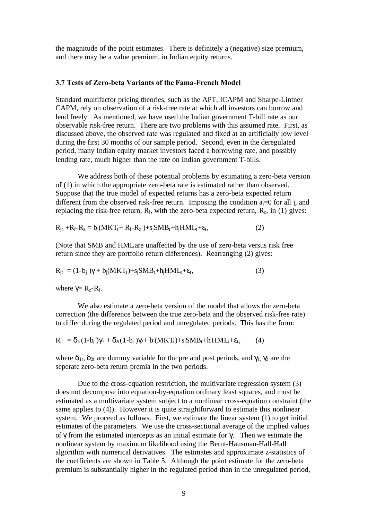the magnitude of the point estimates. There is definitely a (negative) size premium, and there may be a value premium, in Indian equity returns.

#### **3.7 Tests of Zero-beta Variants of the Fama-French Model**

Standard multifactor pricing theories, such as the APT, ICAPM and Sharpe-Lintner CAPM, rely on observation of a risk-free rate at which all investors can borrow and lend freely. As mentioned, we have used the Indian government T-bill rate as our observable risk-free return. There are two problems with this assumed rate. First, as discussed above, the observed rate was regulated and fixed at an artificially low level during the first 30 months of our sample period. Second, even in the deregulated period, many Indian equity market investors faced a borrowing rate, and possibly lending rate, much higher than the rate on Indian government T-bills.

We address both of these potential problems by estimating a zero-beta version of (1) in which the appropriate zero-beta rate is estimated rather than observed. Suppose that the true model of expected returns has a zero-beta expected return different from the observed risk-free return. Imposing the condition  $a_i=0$  for all i, and replacing the risk-free return,  $R_f$ , with the zero-beta expected return,  $\overline{R}_z$ , in (1) gives:

$$
R_{jt} + R_f - R_z = b_j(MKT_t + R_f - R_z) + s_jSMB_t + h_jHML_t + \varepsilon_t,
$$
\n(2)

(Note that SMB and HMLare unaffected by the use of zero-beta versus risk free return since they are portfolio return differences). Rearranging (2) gives:

$$
R_{jt} = (1 - b_j) \gamma + b_j (MKT_t) + s_j SMB_t + h_j HML_t + \varepsilon_t,
$$
\n(3)

where  $\gamma = R_z - R_f$ .

We also estimate a zero-beta version of the model that allows the zero-beta correction (the difference between the true zero-beta and the observed risk-free rate) to differ during the regulated period and unregulated periods. This has the form:

$$
R_{jt} = \delta_{1t}(1-b_j)\gamma_1 + \delta_{2t}(1-b_j)\gamma_2 + b_j(MKT_t) + s_jSMB_t + h_jHML_t + \epsilon_t, \qquad (4)
$$

where  $\delta_{1t}$ ,  $\delta_{2t}$  are dummy variable for the pre and post periods, and  $\gamma_1$ ,  $\gamma_2$  are the seperate zero-beta return premia in the two periods.

Due to the cross-equation restriction, the multivariate regression system (3) does not decompose into equation-by-equation ordinary least squares, and must be estimated as a multivariate system subject to a nonlinear cross-equation constraint (the same applies to (4)). However it is quite straightforward to estimate this nonlinear system. We proceed as follows. First, we estimate the linear system (1) to get initial estimates of the parameters. We use the cross-sectional average of the implied values of γ from the estimated intercepts as an initial estimate for γ. Then we estimate the nonlinear system by maximum likelihood using the Bernt-Hausman-Hall-Hall algorithm with numerical derivatives. The estimates and approximate z-statistics of the coefficients are shown in Table 5. Although the point estimate for the zero-beta premium is substantially higher in the regulated period than in the unregulated period,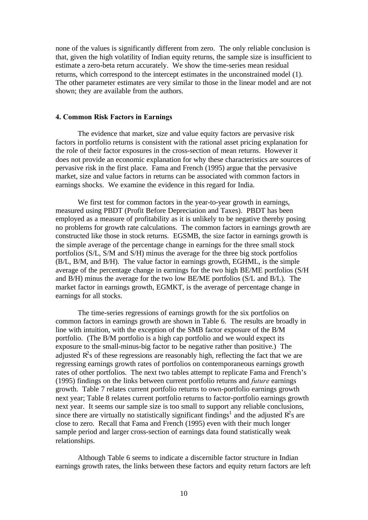none of the values is significantly different from zero. The only reliable conclusion is that, given the high volatility of Indian equity returns, the sample size is insufficient to estimate a zero-beta return accurately. We show the time-series mean residual returns, which correspond to the intercept estimates in the unconstrained model (1). The other parameter estimates are very similar to those in the linear model and are not shown; they are available from the authors.

#### **4. Common Risk Factors in Earnings**

The evidence that market, size and value equity factors are pervasive risk factors in portfolio returns is consistent with the rational asset pricing explanation for the role of their factor exposures in the cross-section of mean returns. However it does not provide an economic explanation for why these characteristics are sources of pervasive risk in the first place. Fama and French (1995) argue that the pervasive market, size and value factors in returns can be associated with common factors in earnings shocks. We examine the evidence in this regard for India.

We first test for common factors in the year-to-year growth in earnings, measured using PBDT (Profit Before Depreciation and Taxes). PBDT has been employed as a measure of profitability as it is unlikely to be negative thereby posing no problems for growth rate calculations. The common factors in earnings growth are constructed like those in stock returns. EGSMB, the size factor in earnings growth is the simple average of the percentage change in earnings for the three small stock portfolios (S/L, S/M and S/H) minus the average for the three big stock portfolios (B/L, B/M, and B/H). The value factor in earnings growth, EGHML, is the simple average of the percentage change in earnings for the two high BE/ME portfolios (S/H and B/H) minus the average for the two low BE/ME portfolios (S/L and B/L). The market factor in earnings growth, EGMKT, is the average of percentage change in earnings for all stocks.

The time-series regressions of earnings growth for the six portfolios on common factors in earnings growth are shown in Table 6. The results are broadly in line with intuition, with the exception of the SMB factor exposure of the B/M portfolio. (The B/M portfolio is a high cap portfolio and we would expect its exposure to the small-minus-big factor to be negative rather than positive.) The adjusted  $\mathbb{R}^2$ s of these regressions are reasonably high, reflecting the fact that we are regressing earnings growth rates of portfolios on contemporaneous earnings growth rates of other portfolios. The next two tables attempt to replicate Fama and French's (1995) findings on the links between current portfolio returns and *future* earnings growth. Table 7 relates current portfolio returns to own-portfolio earnings growth next year; Table 8 relates current portfolio returns to factor-portfolio earnings growth next year. It seems our sample size is too small to support any reliable conclusions, since there are virtually no statistically significant findings<sup>1</sup> and the adjusted  $\mathbb{R}^2$ s are close to zero. Recall that Fama and French (1995) even with their much longer sample period and larger cross-section of earnings data found statistically weak relationships.

Although Table 6 seems to indicate a discernible factor structure in Indian earnings growth rates, the links between these factors and equity return factors are left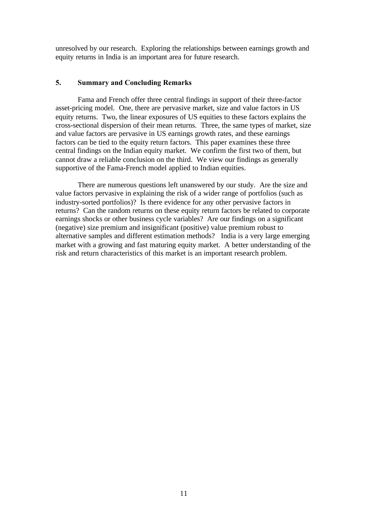unresolved by our research. Exploring the relationships between earnings growth and equity returns in India is an important area for future research.

#### **5. Summary and Concluding Remarks**

Fama and French offer three central findings in support of their three-factor asset-pricing model. One, there are pervasive market, size and value factors in US equity returns. Two, the linear exposures of US equities to these factors explains the cross-sectional dispersion of their mean returns. Three, the same types of market, size and value factors are pervasive in US earnings growth rates, and these earnings factors can be tied to the equity return factors. This paper examines these three central findings on the Indian equity market. We confirm the first two of them, but cannot draw a reliable conclusion on the third. We view our findings as generally supportive of the Fama-French model applied to Indian equities.

There are numerous questions left unanswered by our study. Are the size and value factors pervasive in explaining the risk of a wider range of portfolios (such as industry-sorted portfolios)? Is there evidence for any other pervasive factors in returns? Can the random returns on these equity return factors be related to corporate earnings shocks or other business cycle variables? Are our findings on a significant (negative) size premium and insignificant (positive) value premium robust to alternative samples and different estimation methods? India is a very large emerging market with a growing and fast maturing equity market. A better understanding of the risk and return characteristics of this market is an important research problem.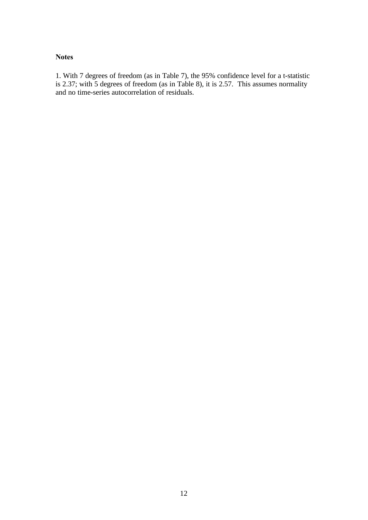#### **Notes**

1. With 7 degrees of freedom (as in Table 7), the 95% confidence level for a t-statistic is 2.37; with 5 degrees of freedom (as in Table 8), it is 2.57. This assumes normality and no time-series autocorrelation of residuals.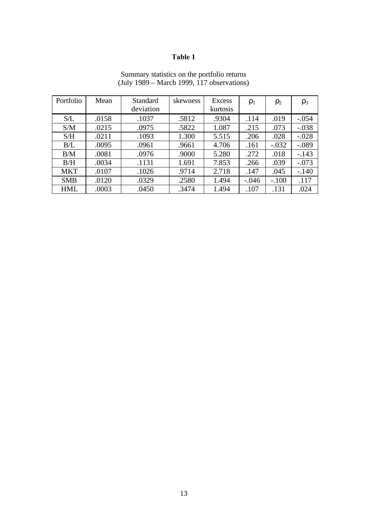| Portfolio  | Mean  | Standard  | skewness | <b>Excess</b> | $\rho_1$ | $\rho_2$ | $\rho_3$ |
|------------|-------|-----------|----------|---------------|----------|----------|----------|
|            |       | deviation |          | kurtosis      |          |          |          |
| S/L        | .0158 | .1037     | .5812    | .9304         | .114     | .019     | $-.054$  |
| S/M        | .0215 | .0975     | .5822    | 1.087         | .215     | .073     | $-.038$  |
| S/H        | .0211 | .1093     | 1.300    | 5.515         | .206     | .028     | $-.028$  |
| B/L        | .0095 | .0961     | .9661    | 4.706         | .161     | $-.032$  | $-.089$  |
| B/M        | .0081 | .0976     | .9000    | 5.280         | .272     | .018     | $-.143$  |
| B/H        | .0034 | .1131     | 1.691    | 7.853         | .266     | .039     | $-.073$  |
| <b>MKT</b> | .0107 | .1026     | .9714    | 2.718         | .147     | .045     | $-.140$  |
| <b>SMB</b> | .0120 | .0329     | .2580    | 1.494         | $-.046$  | $-.100$  | .117     |
| <b>HML</b> | .0003 | .0450     | .3474    | 1.494         | .107     | .131     | .024     |

#### Summary statistics on the portfolio returns (July 1989 – March 1999, 117 observations)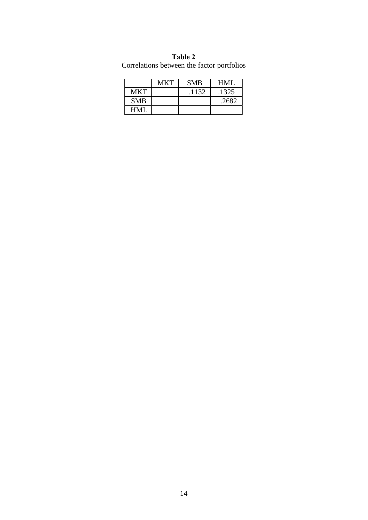| Correlations between the factor portfolio |            |            |       |  |  |  |  |
|-------------------------------------------|------------|------------|-------|--|--|--|--|
|                                           | <b>MKT</b> | <b>SMB</b> | HMI.  |  |  |  |  |
| <b>MKT</b>                                |            | .1132      | .1325 |  |  |  |  |
| <b>SMB</b>                                |            |            | .2682 |  |  |  |  |

HML

**Table 2** Correlations between the factor portfolios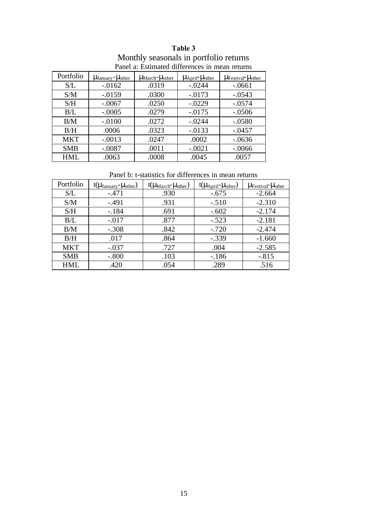| Portfolio  | $\mu_{\text{January}}$ - $\mu_{\text{other}}$ | $\mu_{\text{March}}$ - $\mu_{\text{other}}$ | $\mu_{\text{April}}$ - $\mu_{\text{other}}$ | $\mu$ Festival <sup>-</sup> $\mu$ <sub>other</sub> |
|------------|-----------------------------------------------|---------------------------------------------|---------------------------------------------|----------------------------------------------------|
| S/L        | $-0.0162$                                     | .0319                                       | $-.0244$                                    | $-.0661$                                           |
| S/M        | $-0.0159$                                     | .0300                                       | $-.0173$                                    | $-.0543$                                           |
| S/H        | $-.0067$                                      | .0250                                       | $-.0229$                                    | $-.0574$                                           |
| B/L        | $-.0005$                                      | .0279                                       | $-.0175$                                    | $-.0506$                                           |
| B/M        | $-.0100$                                      | .0272                                       | $-.0244$                                    | $-.0580$                                           |
| B/H        | .0006                                         | .0323                                       | $-0.0133$                                   | $-.0457$                                           |
| <b>MKT</b> | $-.0013$                                      | .0247                                       | .0002                                       | $-.0636$                                           |
| <b>SMB</b> | $-.0087$                                      | .0011                                       | $-.0021$                                    | $-.0066$                                           |
| <b>HML</b> | .0063                                         | .0008                                       | .0045                                       | .0057                                              |

**Table 3** Monthly seasonals in portfolio returns Panel a: Estimated differences in mean returns

Panel b: t-statistics for differences in mean returns

| Portfolio  | $t(\mu_{\text{January}} - \mu_{\text{other}})$ | $t(\mu_{\text{March}} - \mu_{\text{other}})$ | $t(\mu_{\text{April}} - \mu_{\text{other}})$ | $\mu$ Festival <sup>-</sup> $\mu$ <sub>other</sub> |
|------------|------------------------------------------------|----------------------------------------------|----------------------------------------------|----------------------------------------------------|
| S/L        | $-.471$                                        | .930                                         | $-.675$                                      | $-2.664$                                           |
| S/M        | $-.491$                                        | .931                                         | $-.510$                                      | $-2.310$                                           |
| S/H        | $-.184$                                        | .691                                         | $-.602$                                      | $-2.174$                                           |
| B/L        | $-.017$                                        | .877                                         | $-.523$                                      | $-2.181$                                           |
| B/M        | $-.308$                                        | .842                                         | $-.720$                                      | $-2.474$                                           |
| B/H        | .017                                           | .864                                         | $-.339$                                      | $-1.660$                                           |
| <b>MKT</b> | $-.037$                                        | .727                                         | .004                                         | $-2.585$                                           |
| <b>SMB</b> | $-.800$                                        | .103                                         | $-186$                                       | $-.815$                                            |
| HML        | .420                                           | .054                                         | .289                                         | .516                                               |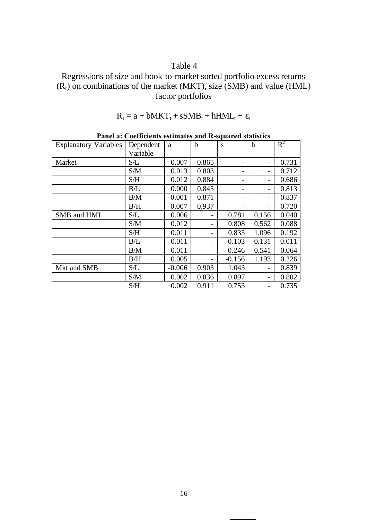Regressions of size and book-to-market sorted portfolio excess returns  $(R_t)$  on combinations of the market (MKT), size (SMB) and value (HML) factor portfolios

$$
R_t = a + bMKT_t + sSMB_t + hHML_t + \epsilon_t
$$

**Panel a: Coefficients estimates and R-squared statistics**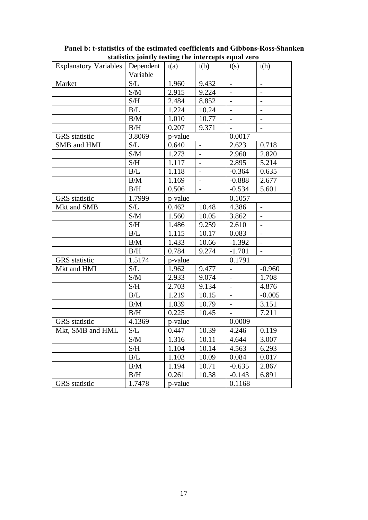| <b>Explanatory Variables</b> | statistics jointry testing the intercepts equal zero<br>Dependent | t(a)    | t(b)           | t(s)                     | t(h)                     |
|------------------------------|-------------------------------------------------------------------|---------|----------------|--------------------------|--------------------------|
|                              | Variable                                                          |         |                |                          |                          |
| Market                       | $\ensuremath{\mathrm{S}}/\ensuremath{\mathrm{L}}$                 | 1.960   | 9.432          | $\overline{a}$           | $\overline{a}$           |
|                              | S/M                                                               | 2.915   | 9.224          | $\qquad \qquad -$        | ÷                        |
|                              | S/H                                                               | 2.484   | 8.852          | $\overline{\phantom{a}}$ |                          |
|                              | B/L                                                               | 1.224   | 10.24          |                          | $\overline{a}$           |
|                              | B/M                                                               | 1.010   | 10.77          | $\blacksquare$           | $\overline{\phantom{a}}$ |
|                              | B/H                                                               | 0.207   | 9.371          |                          |                          |
| <b>GRS</b> statistic         | 3.8069                                                            | p-value |                | 0.0017                   |                          |
| SMB and HML                  | S/L                                                               | 0.640   | $\overline{a}$ | 2.623                    | 0.718                    |
|                              | S/M                                                               | 1.273   | $\overline{a}$ | 2.960                    | 2.820                    |
|                              | S/H                                                               | 1.117   | $\overline{a}$ | 2.895                    | 5.214                    |
|                              | B/L                                                               | 1.118   | $\frac{1}{2}$  | $-0.364$                 | 0.635                    |
|                              | B/M                                                               | 1.169   | $\overline{a}$ | $-0.888$                 | 2.677                    |
|                              | B/H                                                               | 0.506   | $\blacksquare$ | $-0.534$                 | 5.601                    |
| <b>GRS</b> statistic         | 1.7999                                                            | p-value |                | 0.1057                   |                          |
| Mkt and SMB                  | S/L                                                               | 0.462   | 10.48          | 4.386                    | $\overline{\phantom{a}}$ |
|                              | S/M                                                               | 1.560   | 10.05          | 3.862                    | $\overline{a}$           |
|                              | S/H                                                               | 1.486   | 9.259          | 2.610                    | $\overline{a}$           |
|                              | B/L                                                               | 1.115   | 10.17          | 0.083                    | $\overline{a}$           |
|                              | B/M                                                               | 1.433   | 10.66          | $-1.392$                 |                          |
|                              | B/H                                                               | 0.784   | 9.274          | $-1.701$                 | $\overline{\phantom{0}}$ |
| <b>GRS</b> statistic         | 1.5174                                                            | p-value |                | 0.1791                   |                          |
| Mkt and HML                  | S/L                                                               | 1.962   | 9.477          |                          | $-0.960$                 |
|                              | S/M                                                               | 2.933   | 9.074          | $\overline{\phantom{0}}$ | 1.708                    |
|                              | S/H                                                               | 2.703   | 9.134          | $\overline{\phantom{a}}$ | 4.876                    |
|                              | B/L                                                               | 1.219   | 10.15          |                          | $-0.005$                 |
|                              | B/M                                                               | 1.039   | 10.79          | $\overline{\phantom{a}}$ | 3.151                    |
|                              | B/H                                                               | 0.225   | 10.45          |                          | 7.211                    |
| GRS statistic                | 4.1369                                                            | p-value |                | 0.0009                   |                          |
| Mkt, SMB and HML             | S/L                                                               | 0.447   | 10.39          | 4.246                    | 0.119                    |
|                              | S/M                                                               | 1.316   | 10.11          | 4.644                    | 3.007                    |
|                              | S/H                                                               | 1.104   | 10.14          | 4.563                    | 6.293                    |
|                              | B/L                                                               | 1.103   | 10.09          | 0.084                    | 0.017                    |
|                              | B/M                                                               | 1.194   | 10.71          | $-0.635$                 | 2.867                    |
|                              | B/H                                                               | 0.261   | 10.38          | $-0.143$                 | 6.891                    |
| <b>GRS</b> statistic         | 1.7478                                                            | p-value |                | 0.1168                   |                          |

**Panel b: t-statistics of the estimated coefficients and Gibbons-Ross-Shanken statistics jointly testing the intercepts equal zero**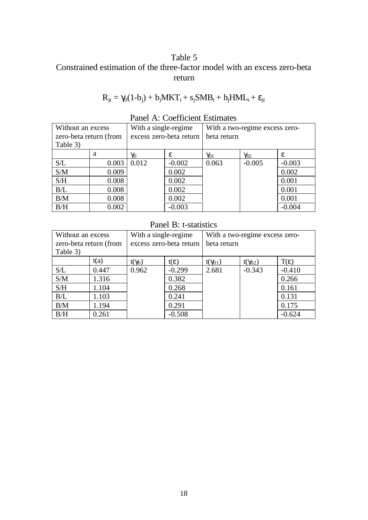### Table 5 Constrained estimation of the three-factor model with an excess zero-beta return

$$
R_{jt} = \gamma_0 (1 - b_j) + b_j MKT_t + s_j SMB_t + h_j HML_t + \epsilon_{jt}
$$

| Without an excess      |       | With a single-regime    |          | With a two-regime excess zero- |               |          |  |
|------------------------|-------|-------------------------|----------|--------------------------------|---------------|----------|--|
| zero-beta return (from |       | excess zero-beta return |          | beta return                    |               |          |  |
| Table 3)               |       |                         |          |                                |               |          |  |
|                        | a     | $\gamma_0$              | £.       | $\gamma_{01}$                  | $\gamma_{02}$ | ε.       |  |
| S/L                    | 0.003 | 0.012                   | $-0.002$ | 0.063                          | $-0.005$      | $-0.003$ |  |
| S/M                    | 0.009 |                         | 0.002    |                                |               | 0.002    |  |
| S/H                    | 0.008 |                         | 0.002    |                                |               | 0.001    |  |
| B/L                    | 0.008 |                         | 0.002    |                                |               | 0.001    |  |
| B/M                    | 0.008 |                         | 0.002    |                                |               | 0.001    |  |
| B/H                    | 0.002 |                         | $-0.003$ |                                |               | $-0.004$ |  |

### Panel A: Coefficient Estimates

### Panel B: t-statistics

| Without an excess<br>zero-beta return (from |       | With a single-regime<br>excess zero-beta return |               | With a two-regime excess zero-<br>beta return |                  |                  |
|---------------------------------------------|-------|-------------------------------------------------|---------------|-----------------------------------------------|------------------|------------------|
| Table 3)                                    |       |                                                 |               |                                               |                  |                  |
|                                             | t(a)  | $t(\gamma_0)$                                   | $t(\epsilon)$ | $t(\gamma_{01})$                              | $t(\gamma_{02})$ | $T(\varepsilon)$ |
| S/L                                         | 0.447 | 0.962                                           | $-0.299$      | 2.681                                         | $-0.343$         | $-0.410$         |
| S/M                                         | 1.316 |                                                 | 0.382         |                                               |                  | 0.266            |
| S/H                                         | 1.104 |                                                 | 0.268         |                                               |                  | 0.161            |
| B/L                                         | 1.103 |                                                 | 0.241         |                                               |                  | 0.131            |
| B/M                                         | 1.194 |                                                 | 0.291         |                                               |                  | 0.175            |
| B/H                                         | 0.261 |                                                 | $-0.508$      |                                               |                  | $-0.624$         |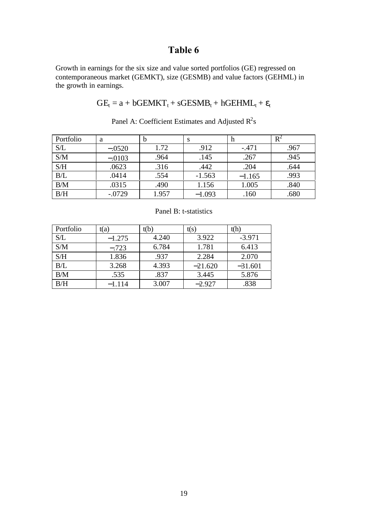Growth in earnings for the six size and value sorted portfolios (GE) regressed on contemporaneous market (GEMKT), size (GESMB) and value factors (GEHML) in the growth in earnings.

$$
GE_t = a + bGEMKT_t + sGESMB_t + hGEHML_t + \epsilon_t
$$

| Portfolio | a        | b     | S        | h        | $R^2$ |
|-----------|----------|-------|----------|----------|-------|
| S/L       | $-.0520$ | 1.72  | .912     | $-.471$  | .967  |
| S/M       | $-.0103$ | .964  | .145     | .267     | .945  |
| S/H       | .0623    | .316  | .442     | .204     | .644  |
| B/L       | .0414    | .554  | $-1.563$ | $-1.165$ | .993  |
| B/M       | .0315    | .490  | 1.156    | 1.005    | .840  |
| B/H       | $-.0729$ | 1.957 | $-1.093$ | .160     | .680  |

Panel A: Coefficient Estimates and Adjusted  $R^2$ s

| Portfolio | t(a)     | t(b)  | t(s)      | t(h)      |
|-----------|----------|-------|-----------|-----------|
| S/L       | $-1.275$ | 4.240 | 3.922     | $-3.971$  |
| S/M       | $-.723$  | 6.784 | 1.781     | 6.413     |
| S/H       | 1.836    | .937  | 2.284     | 2.070     |
| B/L       | 3.268    | 4.393 | $-21.620$ | $-31.601$ |
| B/M       | .535     | .837  | 3.445     | 5.876     |
| B/H       | $-1.114$ | 3.007 | $-2.927$  | .838      |

Panel B: t-statistics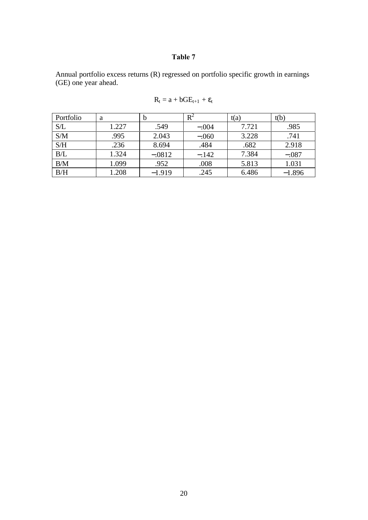Annual portfolio excess returns (R) regressed on portfolio specific growth in earnings (GE) one year ahead.

| Portfolio | a     | b        | $\mathrm{R}^2$ | t(a)  | t(b)     |
|-----------|-------|----------|----------------|-------|----------|
| S/L       | 1.227 | .549     | $-.004$        | 7.721 | .985     |
| S/M       | .995  | 2.043    | $-.060$        | 3.228 | .741     |
| S/H       | .236  | 8.694    | .484           | .682  | 2.918    |
| B/L       | 1.324 | $-.0812$ | $-.142$        | 7.384 | $-.087$  |
| B/M       | 1.099 | .952     | .008           | 5.813 | 1.031    |
| B/H       | 1.208 | $-1.919$ | .245           | 6.486 | $-1.896$ |

$$
R_t = a + bGE_{t+1} + \varepsilon_t
$$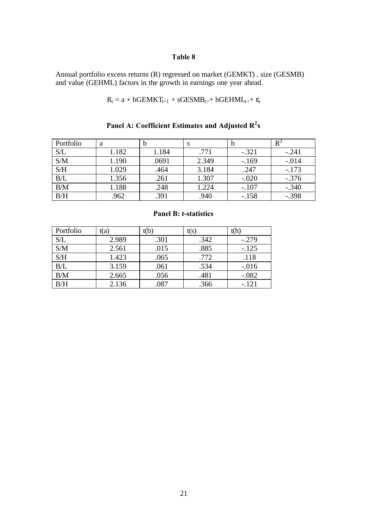Annual portfolio excess returns (R) regressed on market (GEMKT) , size (GESMB) and value (GEHML) factors in the growth in earnings one year ahead.

$$
R_t = a + bGEMKT_{t+1} + sGESMB_{t+} + hGEHML_{t+} + \epsilon_t
$$

| Portfolio | a     | b     | S     | п       | $R^2$   |
|-----------|-------|-------|-------|---------|---------|
| S/L       | 1.182 | 1.184 | .771  | $-.321$ | $-.241$ |
| S/M       | 1.190 | .0691 | 2.349 | $-169$  | $-.014$ |
| S/H       | 1.029 | .464  | 3.184 | .247    | $-.173$ |
| B/L       | 1.356 | .261  | 1.307 | $-.020$ | $-.376$ |
| B/M       | 1.188 | .248  | 1.224 | $-.107$ | $-.340$ |
| B/H       | .962  | .391  | .940  | $-.158$ | $-.398$ |

**Panel A: Coefficient Estimates and Adjusted R<sup>2</sup> s**

| Portfolio | t(a)  | t(b) | t(s` | t(h)    |
|-----------|-------|------|------|---------|
| S/L       | 2.989 | .301 | .342 | $-.279$ |
| S/M       | 2.561 | .015 | .885 | $-.125$ |
| S/H       | 1.423 | .065 | .772 | .118    |
| B/L       | 3.159 | .061 | .534 | $-.016$ |
| B/M       | 2.665 | .056 | .481 | $-.082$ |
| B/H       | 2.136 | .087 | .366 | $-.121$ |

#### **Panel B: t-statistics**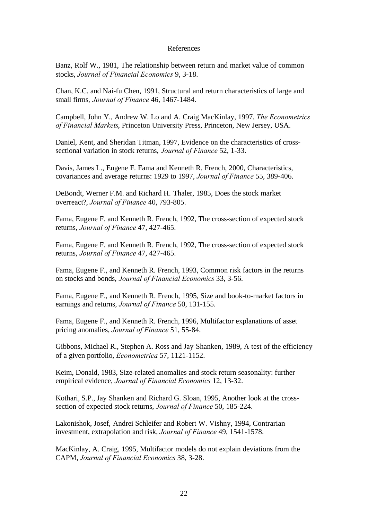#### References

Banz, Rolf W., 1981, The relationship between return and market value of common stocks, *Journal of Financial Economics* 9, 3-18.

Chan, K.C. and Nai-fu Chen, 1991, Structural and return characteristics of large and small firms, *Journal of Finance* 46, 1467-1484.

Campbell, John Y., Andrew W. Lo and A. Craig MacKinlay, 1997, *The Econometrics of Financial Markets*, Princeton University Press, Princeton, New Jersey, USA.

Daniel, Kent, and Sheridan Titman, 1997, Evidence on the characteristics of crosssectional variation in stock returns, *Journal of Finance* 52, 1-33.

Davis, James L., Eugene F. Fama and Kenneth R. French, 2000, Characteristics, covariances and average returns: 1929 to 1997, *Journal of Finance* 55, 389-406.

DeBondt, Werner F.M. and Richard H. Thaler, 1985, Does the stock market overreact?, *Journal of Finance* 40, 793-805.

Fama, Eugene F. and Kenneth R. French, 1992, The cross-section of expected stock returns, *Journal of Finance* 47, 427-465.

Fama, Eugene F. and Kenneth R. French, 1992, The cross-section of expected stock returns, *Journal of Finance* 47, 427-465.

Fama, Eugene F., and Kenneth R. French, 1993, Common risk factors in the returns on stocks and bonds, *Journal of Financial Economics* 33, 3-56.

Fama, Eugene F., and Kenneth R. French, 1995, Size and book-to-market factors in earnings and returns, *Journal of Finance* 50, 131-155.

Fama, Eugene F., and Kenneth R. French, 1996, Multifactor explanations of asset pricing anomalies, *Journal of Finance* 51, 55-84.

Gibbons, Michael R., Stephen A. Ross and Jay Shanken, 1989, A test of the efficiency of a given portfolio, *Econometrica* 57, 1121-1152.

Keim, Donald, 1983, Size-related anomalies and stock return seasonality: further empirical evidence, *Journal of Financial Economics* 12, 13-32.

Kothari, S.P., Jay Shanken and Richard G. Sloan, 1995, Another look at the crosssection of expected stock returns, *Journal of Finance* 50, 185-224.

Lakonishok, Josef, Andrei Schleifer and Robert W. Vishny, 1994, Contrarian investment, extrapolation and risk, *Journal of Finance* 49, 1541-1578.

MacKinlay, A. Craig, 1995, Multifactor models do not explain deviations from the CAPM, *Journal of Financial Economics* 38, 3-28.